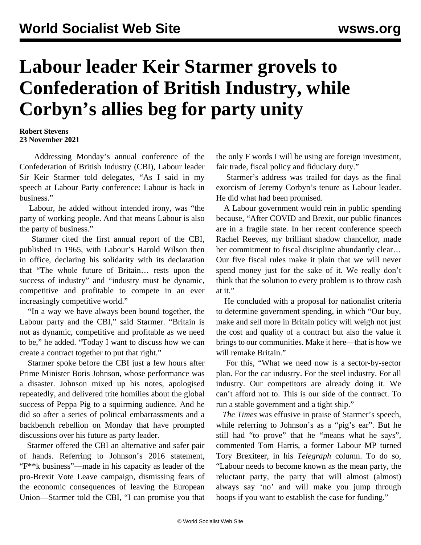## **Labour leader Keir Starmer grovels to Confederation of British Industry, while Corbyn's allies beg for party unity**

**Robert Stevens 23 November 2021**

 Addressing Monday's annual conference of the Confederation of British Industry (CBI), Labour leader Sir Keir Starmer told delegates, "As I said in my speech at Labour Party conference: Labour is back in business."

 Labour, he added without intended irony, was "the party of working people. And that means Labour is also the party of business."

 Starmer cited the first annual report of the CBI, published in 1965, with Labour's Harold Wilson then in office, declaring his solidarity with its declaration that "The whole future of Britain… rests upon the success of industry" and "industry must be dynamic, competitive and profitable to compete in an ever increasingly competitive world."

 "In a way we have always been bound together, the Labour party and the CBI," said Starmer. "Britain is not as dynamic, competitive and profitable as we need to be," he added. "Today I want to discuss how we can create a contract together to put that right."

 Starmer spoke before the CBI just a few hours after Prime Minister Boris Johnson, whose performance was a disaster. Johnson mixed up his notes, apologised repeatedly, and delivered trite homilies about the global success of Peppa Pig to a squirming audience. And he did so after a series of political embarrassments and a backbench rebellion on Monday that have prompted discussions over his future as party leader.

 Starmer offered the CBI an alternative and safer pair of hands. Referring to Johnson's 2016 statement, "F\*\*k business"—made in his capacity as leader of the pro-Brexit Vote Leave campaign, dismissing fears of the economic consequences of leaving the European Union—Starmer told the CBI, "I can promise you that the only F words I will be using are foreign investment, fair trade, fiscal policy and fiduciary duty."

 Starmer's address was trailed for days as the final exorcism of Jeremy Corbyn's tenure as Labour leader. He did what had been promised.

 A Labour government would rein in public spending because, "After COVID and Brexit, our public finances are in a fragile state. In her recent conference speech Rachel Reeves, my brilliant shadow chancellor, made her commitment to fiscal discipline abundantly clear… Our five fiscal rules make it plain that we will never spend money just for the sake of it. We really don't think that the solution to every problem is to throw cash at it."

 He concluded with a proposal for nationalist criteria to determine government spending, in which "Our buy, make and sell more in Britain policy will weigh not just the cost and quality of a contract but also the value it brings to our communities. Make it here—that is how we will remake Britain."

 For this, "What we need now is a sector-by-sector plan. For the car industry. For the steel industry. For all industry. Our competitors are already doing it. We can't afford not to. This is our side of the contract. To run a stable government and a tight ship."

 *The Times* was effusive in praise of Starmer's speech, while referring to Johnson's as a "pig's ear". But he still had "to prove" that he "means what he says", commented Tom Harris, a former Labour MP turned Tory Brexiteer, in his *Telegraph* column. To do so, "Labour needs to become known as the mean party, the reluctant party, the party that will almost (almost) always say 'no' and will make you jump through hoops if you want to establish the case for funding."